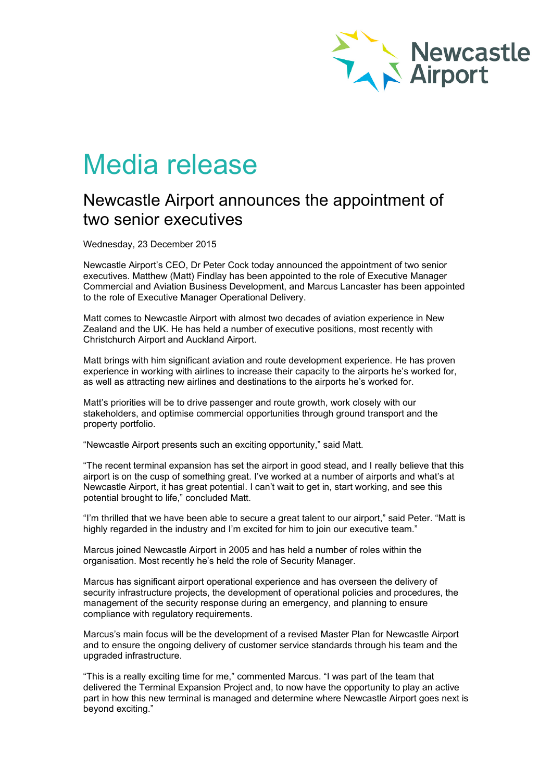

# Media release

# Newcastle Airport announces the appointment of two senior executives

Wednesday, 23 December 2015

Newcastle Airport's CEO, Dr Peter Cock today announced the appointment of two senior executives. Matthew (Matt) Findlay has been appointed to the role of Executive Manager Commercial and Aviation Business Development, and Marcus Lancaster has been appointed to the role of Executive Manager Operational Delivery.

Matt comes to Newcastle Airport with almost two decades of aviation experience in New Zealand and the UK. He has held a number of executive positions, most recently with Christchurch Airport and Auckland Airport.

Matt brings with him significant aviation and route development experience. He has proven experience in working with airlines to increase their capacity to the airports he's worked for, as well as attracting new airlines and destinations to the airports he's worked for.

Matt's priorities will be to drive passenger and route growth, work closely with our stakeholders, and optimise commercial opportunities through ground transport and the property portfolio.

"Newcastle Airport presents such an exciting opportunity," said Matt.

"The recent terminal expansion has set the airport in good stead, and I really believe that this airport is on the cusp of something great. I've worked at a number of airports and what's at Newcastle Airport, it has great potential. I can't wait to get in, start working, and see this potential brought to life," concluded Matt.

"I'm thrilled that we have been able to secure a great talent to our airport," said Peter. "Matt is highly regarded in the industry and I'm excited for him to join our executive team."

Marcus joined Newcastle Airport in 2005 and has held a number of roles within the organisation. Most recently he's held the role of Security Manager.

Marcus has significant airport operational experience and has overseen the delivery of security infrastructure projects, the development of operational policies and procedures, the management of the security response during an emergency, and planning to ensure compliance with regulatory requirements.

Marcus's main focus will be the development of a revised Master Plan for Newcastle Airport and to ensure the ongoing delivery of customer service standards through his team and the upgraded infrastructure.

"This is a really exciting time for me," commented Marcus. "I was part of the team that delivered the Terminal Expansion Project and, to now have the opportunity to play an active part in how this new terminal is managed and determine where Newcastle Airport goes next is beyond exciting."